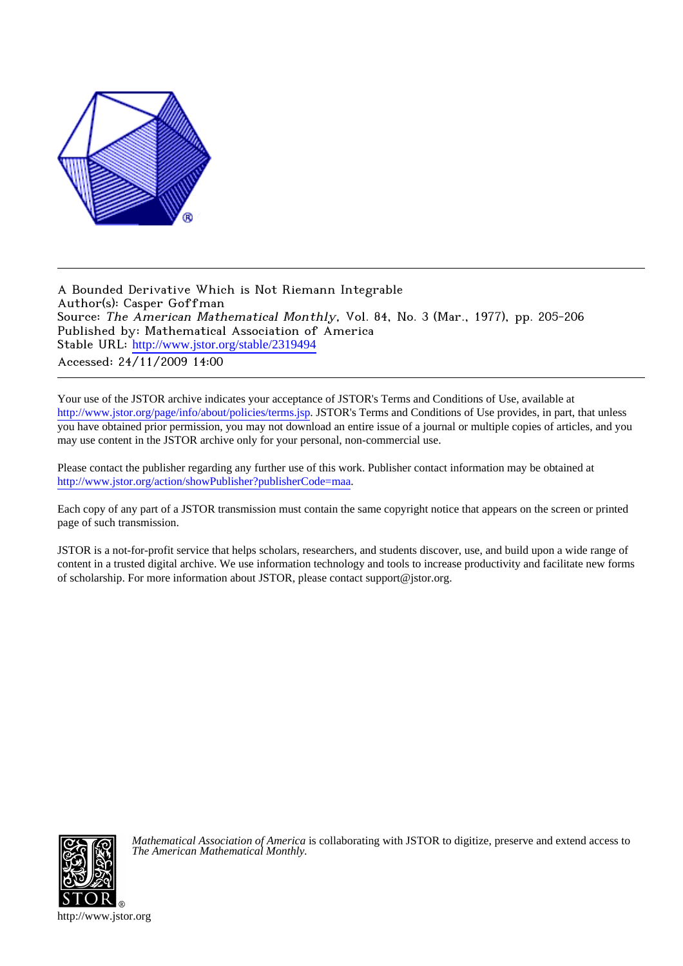

A Bounded Derivative Which is Not Riemann Integrable Author(s): Casper Goffman Source: The American Mathematical Monthly, Vol. 84, No. 3 (Mar., 1977), pp. 205-206 Published by: Mathematical Association of America Stable URL: [http://www.jstor.org/stable/2319494](http://www.jstor.org/stable/2319494?origin=JSTOR-pdf) Accessed: 24/11/2009 14:00

Your use of the JSTOR archive indicates your acceptance of JSTOR's Terms and Conditions of Use, available at <http://www.jstor.org/page/info/about/policies/terms.jsp>. JSTOR's Terms and Conditions of Use provides, in part, that unless you have obtained prior permission, you may not download an entire issue of a journal or multiple copies of articles, and you may use content in the JSTOR archive only for your personal, non-commercial use.

Please contact the publisher regarding any further use of this work. Publisher contact information may be obtained at [http://www.jstor.org/action/showPublisher?publisherCode=maa.](http://www.jstor.org/action/showPublisher?publisherCode=maa)

Each copy of any part of a JSTOR transmission must contain the same copyright notice that appears on the screen or printed page of such transmission.

JSTOR is a not-for-profit service that helps scholars, researchers, and students discover, use, and build upon a wide range of content in a trusted digital archive. We use information technology and tools to increase productivity and facilitate new forms of scholarship. For more information about JSTOR, please contact support@jstor.org.



*Mathematical Association of America* is collaborating with JSTOR to digitize, preserve and extend access to *The American Mathematical Monthly.*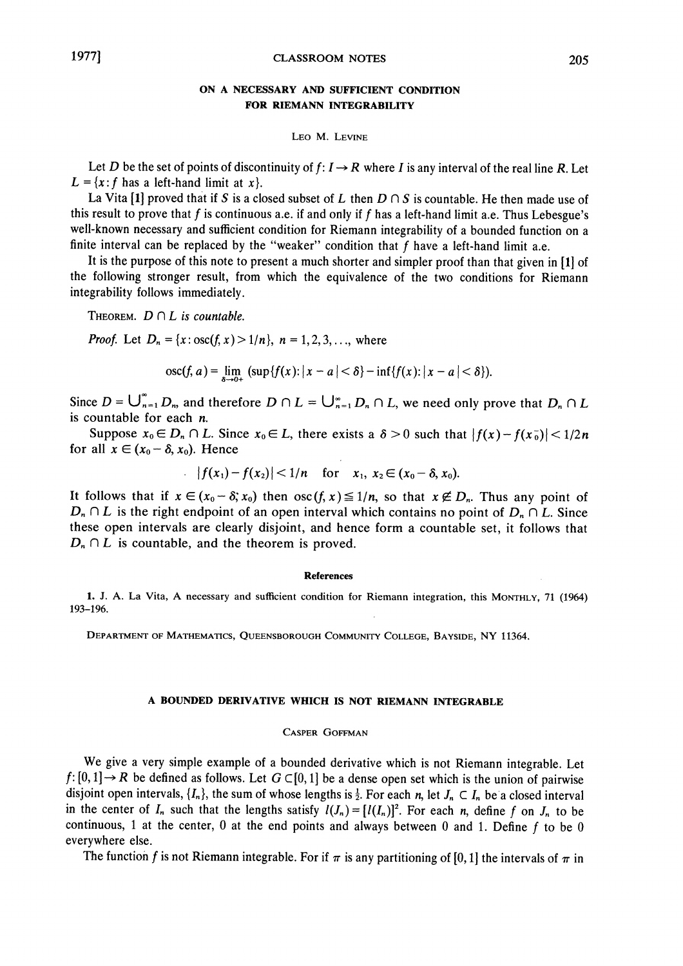# ON A NECESSARY AND SUFFICIENT CONDITION FOR RIEMANN INTEGRABILITY

### LEO M. LEVINE

Let D be the set of points of discontinuity of  $f: I \to R$  where I is any interval of the real line R. Let  $L = \{x : f \text{ has a left-hand limit at } x\}.$ 

La Vita [1] proved that if S is a closed subset of L then  $D \cap S$  is countable. He then made use of this result to prove that f is continuous a.e. if and only if f has a left-hand limit a.e. Thus Lebesgue's well-known necessary and sufficient condition for Riemann integrability of a bounded function on a finite interval can be replaced by the "weaker" condition that  $f$  have a left-hand limit a.e.

It is the purpose of this note to present a much shorter and simpler proof than that given in [1] of the following stronger result, from which the equivalence of the two conditions for Riemann integrability follows immediately.

THEOREM.  $D \cap L$  is countable.

*Proof.* Let  $D_n = \{x : \text{osc}(f, x) > 1/n\}$ ,  $n = 1, 2, 3, ...$  where

$$
osc(f, a) = \lim_{x \to a} (sup\{f(x): |x - a| < \delta\} - inf\{f(x): |x - a| < \delta\}).
$$

Since  $D = \bigcup_{n=1}^{\infty} D_n$  and therefore  $D \cap L = \bigcup_{n=1}^{\infty} D_n \cap L$ , we need only prove that  $D_n \cap L$ is countable for each  $n$ .

Suppose  $x_0 \in D_n \cap L$ . Since  $x_0 \in L$ , there exists a  $\delta > 0$  such that  $|f(x) - f(x_0)| < 1/2n$ for all  $x \in (x_0 - \delta, x_0)$ . Hence

$$
|f(x_1)-f(x_2)|<1/n \quad \text{for} \quad x_1, x_2\in (x_0-\delta, x_0).
$$

It follows that if  $x \in (x_0 - \delta; x_0)$  then  $\operatorname{osc}(f, x) \le 1/n$ , so that  $x \notin D_n$ . Thus any point of  $D_n \cap L$  is the right endpoint of an open interval which contains no point of  $D_n \cap L$ . Since these open intervals are clearly disjoint, and hence form a countable set, it follows that  $D_n \cap L$  is countable, and the theorem is proved.

#### **References**

1. J. A. La Vita, A necessary and sufficient condition for Riemann integration, this MONTHLY, 71 (1964) 193-196.

DEPARTMENT OF MATHEMATICS, QUEENSBOROUGH COMMUNITY COLLEGE, BAYSIDE, NY 11364.

# A BOUNDED DERIVATIVE WHICH IS NOT RIEMANN INTEGRABLE

### **CASPER GOFFMAN**

We give a very simple example of a bounded derivative which is not Riemann integrable. Let  $f:[0,1] \rightarrow R$  be defined as follows. Let  $G \subset [0,1]$  be a dense open set which is the union of pairwise disjoint open intervals,  $\{I_n\}$ , the sum of whose lengths is  $\frac{1}{2}$ . For each n, let  $J_n \subset I_n$  be a closed interval in the center of  $I_n$  such that the lengths satisfy  $I(I_n) = [I(I_n)]^2$ . For each n, define f on  $I_n$  to be continuous, 1 at the center, 0 at the end points and always between 0 and 1. Define  $f$  to be 0 everywhere else.

The function f is not Riemann integrable. For if  $\pi$  is any partitioning of [0, 1] the intervals of  $\pi$  in